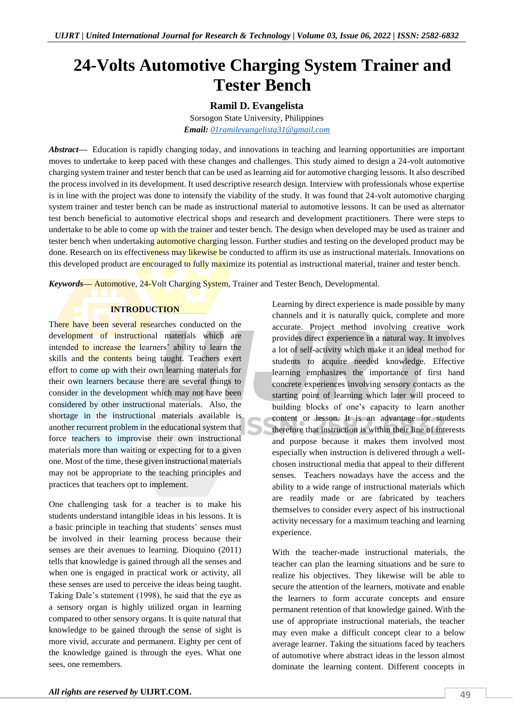# **24-Volts Automotive Charging System Trainer and Tester Bench**

## **Ramil D. Evangelista**

Sorsogon State University, Philippines

*Email: [01ramilevangelista31@gmail.com](mailto:01ramilevangelista31@gmail.com)*

*Abstract—* Education is rapidly changing today, and innovations in teaching and learning opportunities are important moves to undertake to keep paced with these changes and challenges. This study aimed to design a 24-volt automotive charging system trainer and tester bench that can be used as learning aid for automotive charging lessons. It also described the process involved in its development. It used descriptive research design. Interview with professionals whose expertise is in line with the project was done to intensify the viability of the study. It was found that 24-volt automotive charging system trainer and tester bench can be made as instructional material to automotive lessons. It can be used as alternator test bench beneficial to automotive electrical shops and research and development practitioners. There were steps to undertake to be able to come up with the trainer and tester bench. The design when developed may be used as trainer and tester bench when undertaking automotive charging lesson. Further studies and testing on the developed product may be done. Research on its effectiveness may likewise be conducted to affirm its use as instructional materials. Innovations on this developed product are encouraged to fully maximize its potential as instructional material, trainer and tester bench.

*Keywords—* Automotive, 24-Volt Charging System, Trainer and Tester Bench, Developmental.

#### **INTRODUCTION**

There have been several researches conducted on the development of instructional materials which are intended to increase the learners' ability to learn the skills and the contents being taught. Teachers exert effort to come up with their own learning materials for their own learners because there are several things to consider in the development which may not have been considered by other instructional materials. Also, the shortage in the instructional materials available is another recurrent problem in the educational system that force teachers to improvise their own instructional materials more than waiting or expecting for to a given one. Most of the time, these given instructional materials may not be appropriate to the teaching principles and practices that teachers opt to implement.

One challenging task for a teacher is to make his students understand intangible ideas in his lessons. It is a basic principle in teaching that students' senses must be involved in their learning process because their senses are their avenues to learning. Dioquino (2011) tells that knowledge is gained through all the senses and when one is engaged in practical work or activity, all these senses are used to perceive the ideas being taught. Taking Dale's statement (1998), he said that the eye as a sensory organ is highly utilized organ in learning compared to other sensory organs. It is quite natural that knowledge to be gained through the sense of sight is more vivid, accurate and permanent. Eighty per cent of the knowledge gained is through the eyes. What one sees, one remembers.

channels and it is naturally quick, complete and more accurate. Project method involving creative work provides direct experience in a natural way. It involves a lot of self-activity which make it an ideal method for students to acquire needed knowledge. Effective learning emphasizes the importance of first hand concrete experiences involving sensory contacts as the starting point of learning which later will proceed to building blocks of one's capacity to learn another content or lesson. It is an advantage for students therefore that instruction is within their line of interests and purpose because it makes them involved most especially when instruction is delivered through a wellchosen instructional media that appeal to their different senses. Teachers nowadays have the access and the ability to a wide range of instructional materials which are readily made or are fabricated by teachers themselves to consider every aspect of his instructional activity necessary for a maximum teaching and learning experience. With the teacher-made instructional materials, the

Learning by direct experience is made possible by many

teacher can plan the learning situations and be sure to realize his objectives. They likewise will be able to secure the attention of the learners, motivate and enable the learners to form accurate concepts and ensure permanent retention of that knowledge gained. With the use of appropriate instructional materials, the teacher may even make a difficult concept clear to a below average learner. Taking the situations faced by teachers of automotive where abstract ideas in the lesson almost dominate the learning content. Different concepts in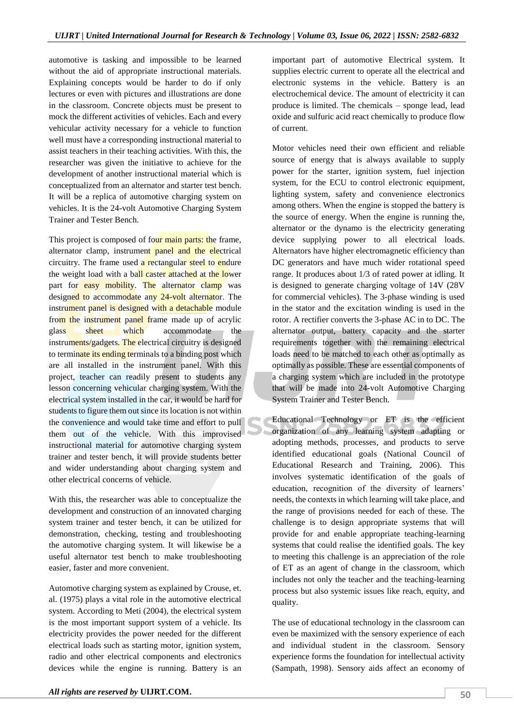automotive is tasking and impossible to be learned without the aid of appropriate instructional materials. Explaining concepts would be harder to do if only lectures or even with pictures and illustrations are done in the classroom. Concrete objects must be present to mock the different activities of vehicles. Each and every vehicular activity necessary for a vehicle to function well must have a corresponding instructional material to assist teachers in their teaching activities. With this, the researcher was given the initiative to achieve for the development of another instructional material which is conceptualized from an alternator and starter test bench. It will be a replica of automotive charging system on vehicles. It is the 24-volt Automotive Charging System Trainer and Tester Bench.

This project is composed of four main parts: the frame, alternator clamp, instrument panel and the electrical circuitry. The frame used  $\alpha$  rectangular steel to endure the weight load with a ball caster attached at the lower part for easy mobility. The alternator clamp was designed to accommodate any 24-volt alternator. The instrument panel is designed with a detachable module from the instrument panel frame made up of acrylic glass sheet which accommodate the instruments/gadgets. The electrical circuitry is designed to terminate its ending terminals to a binding post which are all installed in the instrument panel. With this project, teacher can readily present to students any lesson concerning vehicular charging system. With the electrical system installed in the car, it would be hard for students to figure them out since its location is not within the convenience and would take time and effort to pull them out of the vehicle. With this improvised instructional material for automotive charging system trainer and tester bench, it will provide students better and wider understanding about charging system and other electrical concerns of vehicle.

With this, the researcher was able to conceptualize the development and construction of an innovated charging system trainer and tester bench, it can be utilized for demonstration, checking, testing and troubleshooting the automotive charging system. It will likewise be a useful alternator test bench to make troubleshooting easier, faster and more convenient.

Automotive charging system as explained by Crouse, et. al. (1975) plays a vital role in the automotive electrical system. According to Meti (2004), the electrical system is the most important support system of a vehicle. Its electricity provides the power needed for the different electrical loads such as starting motor, ignition system, radio and other electrical components and electronics devices while the engine is running. Battery is an

important part of automotive Electrical system. It supplies electric current to operate all the electrical and electronic systems in the vehicle. Battery is an electrochemical device. The amount of electricity it can produce is limited. The chemicals – sponge lead, lead oxide and sulfuric acid react chemically to produce flow of current.

Motor vehicles need their own efficient and reliable source of energy that is always available to supply power for the starter, ignition system, fuel injection system, for the ECU to control electronic equipment, lighting system, safety and convenience electronics among others. When the engine is stopped the battery is the source of energy. When the engine is running the, alternator or the dynamo is the electricity generating device supplying power to all electrical loads. Alternators have higher electromagnetic efficiency than DC generators and have much wider rotational speed range. It produces about 1/3 of rated power at idling. It is designed to generate charging voltage of 14V (28V for commercial vehicles). The 3-phase winding is used in the stator and the excitation winding is used in the rotor. A rectifier converts the 3-phase AC in to DC. The alternator output, battery capacity and the starter requirements together with the remaining electrical loads need to be matched to each other as optimally as optimally as possible. These are essential components of a charging system which are included in the prototype that will be made into 24-volt Automotive Charging System Trainer and Tester Bench.

Educational Technology or ET is the efficient organization of any learning system adapting or adopting methods, processes, and products to serve identified educational goals (National Council of Educational Research and Training, 2006). This involves systematic identification of the goals of education, recognition of the diversity of learners' needs, the contexts in which learning will take place, and the range of provisions needed for each of these. The challenge is to design appropriate systems that will provide for and enable appropriate teaching-learning systems that could realise the identified goals. The key to meeting this challenge is an appreciation of the role of ET as an agent of change in the classroom, which includes not only the teacher and the teaching-learning process but also systemic issues like reach, equity, and quality.

The use of educational technology in the classroom can even be maximized with the sensory experience of each and individual student in the classroom. Sensory experience forms the foundation for intellectual activity (Sampath, 1998). Sensory aids affect an economy of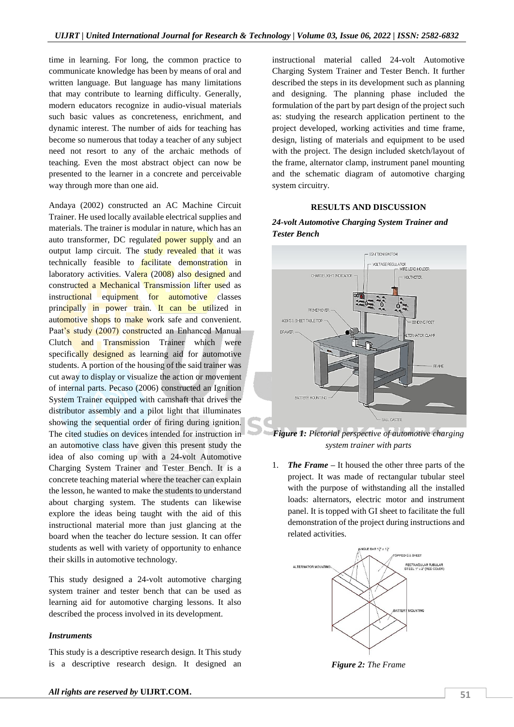time in learning. For long, the common practice to communicate knowledge has been by means of oral and written language. But language has many limitations that may contribute to learning difficulty. Generally, modern educators recognize in audio-visual materials such basic values as concreteness, enrichment, and dynamic interest. The number of aids for teaching has become so numerous that today a teacher of any subject need not resort to any of the archaic methods of teaching. Even the most abstract object can now be presented to the learner in a concrete and perceivable way through more than one aid.

Andaya (2002) constructed an AC Machine Circuit Trainer. He used locally available electrical supplies and materials. The trainer is modular in nature, which has an auto transformer, DC regulated power supply and an output lamp circuit. The study revealed that it was technically feasible to **facilitate** demonstration in laboratory activities. Valera (2008) also designed and constructed a Mechanical Transmission lifter used as instructional equipment for automotive classes principally in power train. It can be utilized in automotive shops to make work safe and convenient. Paat's study (2007) constructed an Enhanced Manual Clutch and Transmission Trainer which were specifically designed as learning aid for automotive students. A portion of the housing of the said trainer was cut away to display or visualize the action or movement of internal parts. Pecaso (2006) constructed an Ignition System Trainer equipped with camshaft that drives the distributor assembly and a pilot light that illuminates showing the sequential order of firing during ignition. The cited studies on devices intended for instruction in an automotive class have given this present study the idea of also coming up with a 24-volt Automotive Charging System Trainer and Tester Bench. It is a concrete teaching material where the teacher can explain the lesson, he wanted to make the students to understand about charging system. The students can likewise explore the ideas being taught with the aid of this instructional material more than just glancing at the board when the teacher do lecture session. It can offer students as well with variety of opportunity to enhance their skills in automotive technology.

This study designed a 24-volt automotive charging system trainer and tester bench that can be used as learning aid for automotive charging lessons. It also described the process involved in its development.

#### *Instruments*

This study is a descriptive research design. It This study is a descriptive research design. It designed an instructional material called 24-volt Automotive Charging System Trainer and Tester Bench. It further described the steps in its development such as planning and designing. The planning phase included the formulation of the part by part design of the project such as: studying the research application pertinent to the project developed, working activities and time frame, design, listing of materials and equipment to be used with the project. The design included sketch/layout of the frame, alternator clamp, instrument panel mounting and the schematic diagram of automotive charging system circuitry.

#### **RESULTS AND DISCUSSION**

## *24-volt Automotive Charging System Trainer and Tester Bench*



*Figure 1: Pictorial perspective of automotive charging system trainer with parts*

1. *The Frame –* It housed the other three parts of the project. It was made of rectangular tubular steel with the purpose of withstanding all the installed loads: alternators, electric motor and instrument panel. It is topped with GI sheet to facilitate the full demonstration of the project during instructions and related activities.



*Figure 2: The Frame*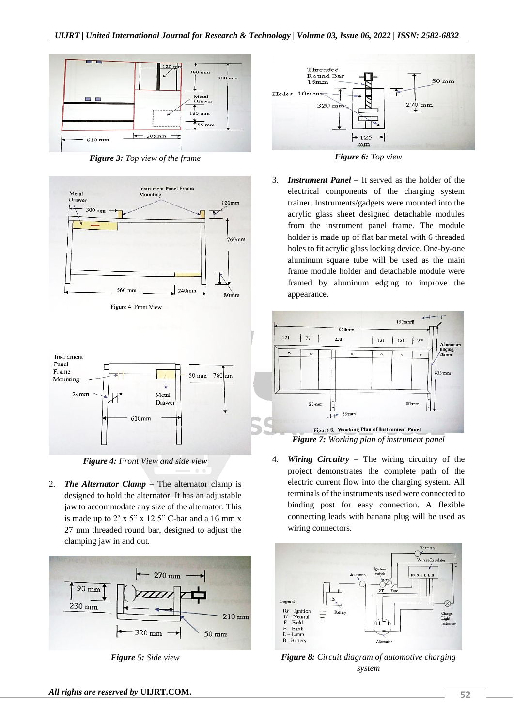

*Figure 3: Top view of the frame*



Figure 4. Front View



*Figure 4: Front View and side view*

2. **The Alternator Clamp**  $\rightarrow$  The alternator clamp is designed to hold the alternator. It has an adjustable jaw to accommodate any size of the alternator. This is made up to  $2' \times 5'' \times 12.5''$  C-bar and a 16 mm x 27 mm threaded round bar, designed to adjust the clamping jaw in and out.



*Figure 5: Side view*



*Figure 6: Top view*

3. *Instrument Panel –* It served as the holder of the electrical components of the charging system trainer. Instruments/gadgets were mounted into the acrylic glass sheet designed detachable modules from the instrument panel frame. The module holder is made up of flat bar metal with 6 threaded holes to fit acrylic glass locking device. One-by-one aluminum square tube will be used as the main frame module holder and detachable module were framed by aluminum edging to improve the appearance.



4. *Wiring Circuitry –* The wiring circuitry of the project demonstrates the complete path of the electric current flow into the charging system. All terminals of the instruments used were connected to binding post for easy connection. A flexible connecting leads with banana plug will be used as wiring connectors.



*Figure 8: Circuit diagram of automotive charging system*